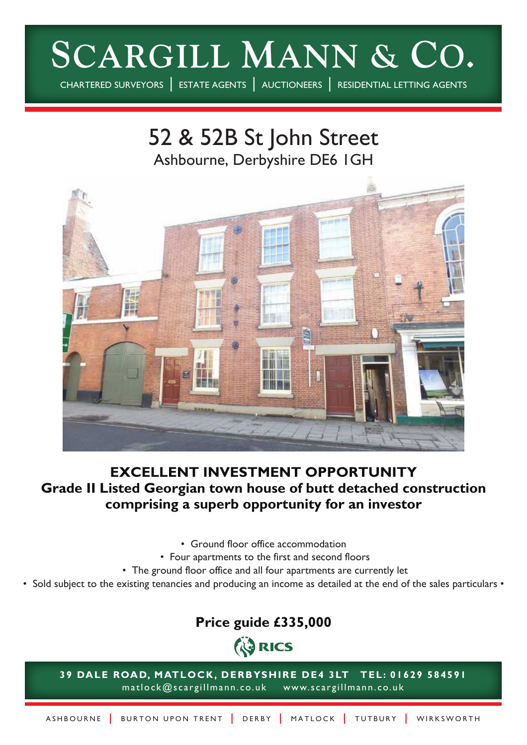# **SCARGILL MANN & CO.**

CHARTERED SURVEYORS | ESTATE AGENTS | AUCTIONEERS | RESIDENTIAL LETTING AGENTS

52 & 52B St John Street Ashbourne, Derbyshire DE6 1GH



# **EXCELLENT INVESTMENT OPPORTUNITY Grade II Listed Georgian town house of butt detached construction comprising a superb opportunity for an investor**

- Ground floor office accommodation
- Four apartments to the first and second floors
- The ground floor office and all four apartments are currently let
- Sold subject to the existing tenancies and producing an income as detailed at the end of the sales particulars •

# **Price guide £335,000**



**39 DALE ROAD, MATLOCK, DERBYSHIRE DE4 3LT TEL: 01629 584591** matlock@scargillmann.co.uk www.scargillmann.co.uk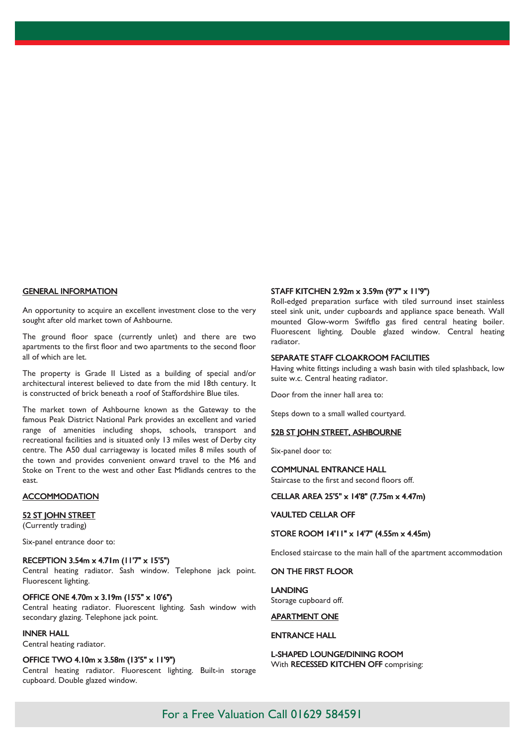#### GENERAL INFORMATION

An opportunity to acquire an excellent investment close to the very sought after old market town of Ashbourne.

The ground floor space (currently unlet) and there are two apartments to the first floor and two apartments to the second floor all of which are let.

The property is Grade II Listed as a building of special and/or architectural interest believed to date from the mid 18th century. It is constructed of brick beneath a roof of Staffordshire Blue tiles.

The market town of Ashbourne known as the Gateway to the famous Peak District National Park provides an excellent and varied range of amenities including shops, schools, transport and recreational facilities and is situated only 13 miles west of Derby city centre. The A50 dual carriageway is located miles 8 miles south of the town and provides convenient onward travel to the M6 and Stoke on Trent to the west and other East Midlands centres to the east.

# **ACCOMMODATION**

#### 52 ST JOHN STREET

(Currently trading)

Six-panel entrance door to:

# RECEPTION 3.54m x 4.71m (11'7" x 15'5")

Central heating radiator. Sash window. Telephone jack point. Fluorescent lighting.

# OFFICE ONE 4.70m x 3.19m (15'5" x 10'6")

Central heating radiator. Fluorescent lighting. Sash window with secondary glazing. Telephone jack point.

# INNER HALL

Central heating radiator.

## OFFICE TWO 4.10m x 3.58m (13'5" x 11'9")

Central heating radiator. Fluorescent lighting. Built-in storage cupboard. Double glazed window.

# STAFF KITCHEN 2.92m x 3.59m (9'7" x 11'9")

Roll-edged preparation surface with tiled surround inset stainless steel sink unit, under cupboards and appliance space beneath. Wall mounted Glow-worm Swiftflo gas fired central heating boiler. Fluorescent lighting. Double glazed window. Central heating radiator.

## SEPARATE STAFF CLOAKROOM FACILITIES

Having white fittings including a wash basin with tiled splashback, low suite w.c. Central heating radiator.

Door from the inner hall area to:

Steps down to a small walled courtyard.

# 52B ST JOHN STREET, ASHBOURNE

Six-panel door to:

# COMMUNAL ENTRANCE HALL

Staircase to the first and second floors off.

# CELLAR AREA 25'5" x 14'8" (7.75m x 4.47m)

#### VAULTED CELLAR OFF

#### STORE ROOM 14'11" x 14'7" (4.55m x 4.45m)

Enclosed staircase to the main hall of the apartment accommodation

#### ON THE FIRST FLOOR

LANDING Storage cupboard off.

# APARTMENT ONE

# ENTRANCE HALL

L-SHAPED LOUNGE/DINING ROOM With RECESSED KITCHEN OFF comprising: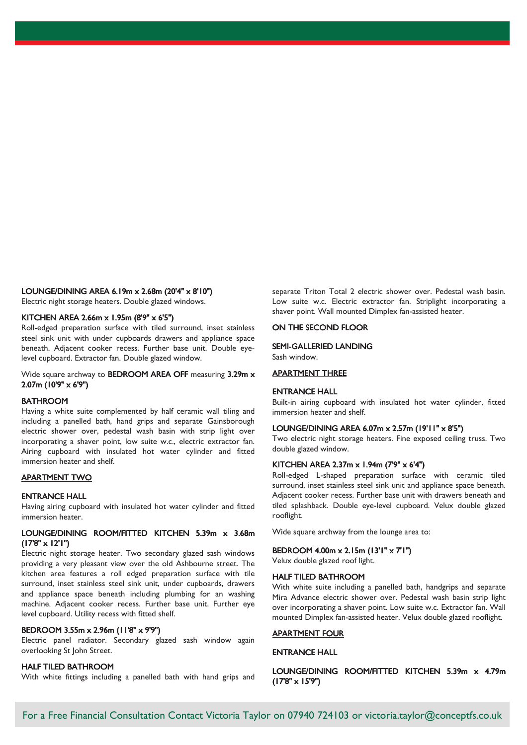## LOUNGE/DINING AREA 6.19m x 2.68m (20'4" x 8'10")

Electric night storage heaters. Double glazed windows.

# KITCHEN AREA 2.66m x 1.95m (8'9" x 6'5")

Roll-edged preparation surface with tiled surround, inset stainless steel sink unit with under cupboards drawers and appliance space beneath. Adjacent cooker recess. Further base unit. Double eyelevel cupboard. Extractor fan. Double glazed window.

# Wide square archway to BEDROOM AREA OFF measuring 3.29m x 2.07m (10'9" x 6'9")

# BATHROOM

Having a white suite complemented by half ceramic wall tiling and including a panelled bath, hand grips and separate Gainsborough electric shower over, pedestal wash basin with strip light over incorporating a shaver point, low suite w.c., electric extractor fan. Airing cupboard with insulated hot water cylinder and fitted immersion heater and shelf.

# APARTMENT TWO

#### ENTRANCE HALL

Having airing cupboard with insulated hot water cylinder and fitted immersion heater.

# LOUNGE/DINING ROOM/FITTED KITCHEN 5.39m x 3.68m  $(17'8" \times 12'1")$

Electric night storage heater. Two secondary glazed sash windows providing a very pleasant view over the old Ashbourne street. The kitchen area features a roll edged preparation surface with tile surround, inset stainless steel sink unit, under cupboards, drawers and appliance space beneath including plumbing for an washing machine. Adjacent cooker recess. Further base unit. Further eye level cupboard. Utility recess with fitted shelf.

# BEDROOM 3.55m x 2.96m (11'8" x 9'9")

Electric panel radiator. Secondary glazed sash window again overlooking St John Street.

# HALF TILED BATHROOM

With white fittings including a panelled bath with hand grips and

separate Triton Total 2 electric shower over. Pedestal wash basin. Low suite w.c. Electric extractor fan. Striplight incorporating a shaver point. Wall mounted Dimplex fan-assisted heater.

# ON THE SECOND FLOOR

#### SEMI-GALLERIED LANDING

Sash window.

# APARTMENT THREE

# ENTRANCE HALL

Built-in airing cupboard with insulated hot water cylinder, fitted immersion heater and shelf.

# LOUNGE/DINING AREA 6.07m x 2.57m (19'11" x 8'5")

Two electric night storage heaters. Fine exposed ceiling truss. Two double glazed window.

# KITCHEN AREA 2.37m x 1.94m (7'9" x 6'4")

Roll-edged L-shaped preparation surface with ceramic tiled surround, inset stainless steel sink unit and appliance space beneath. Adjacent cooker recess. Further base unit with drawers beneath and tiled splashback. Double eye-level cupboard. Velux double glazed rooflight.

Wide square archway from the lounge area to:

# BEDROOM 4.00m x 2.15m (13'1" x 7'1")

Velux double glazed roof light.

# HALF TILED BATHROOM

With white suite including a panelled bath, handgrips and separate Mira Advance electric shower over. Pedestal wash basin strip light over incorporating a shaver point. Low suite w.c. Extractor fan. Wall mounted Dimplex fan-assisted heater. Velux double glazed rooflight.

## APARTMENT FOUR

## ENTRANCE HALL

# LOUNGE/DINING ROOM/FITTED KITCHEN 5.39m x 4.79m (17'8" x 15'9")